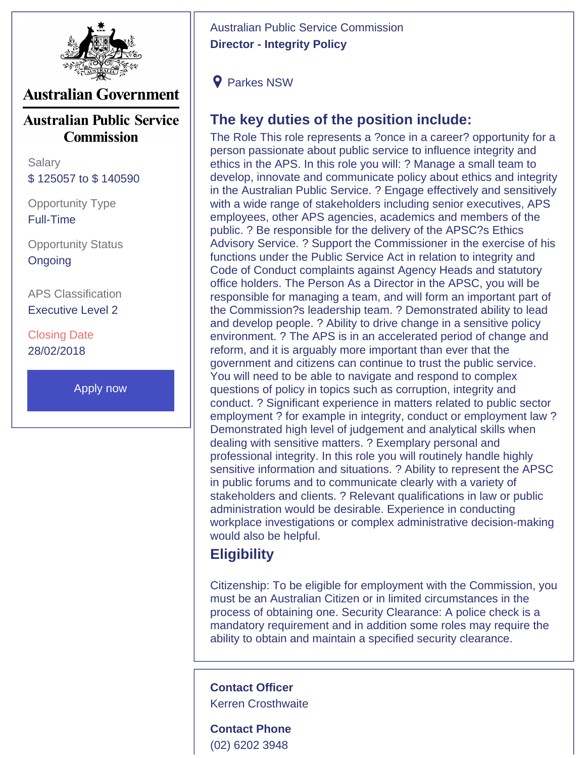

## **Australian Government**

**Australian Public Service Commission** 

**Salary** \$ 125057 to \$ 140590

Opportunity Type Full-Time

Opportunity Status **Ongoing** 

APS Classification Executive Level 2

Closing Date 28/02/2018

[Apply now](http://apsc.nga.net.au/cp/index.cfm?event=jobs.home&CurATC=EXT&CurBID=D7728DB5%2D737E%2D4121%2D97D2%)

Australian Public Service Commission **Director - Integrity Policy**

**9** Parkes NSW

## **The key duties of the position include:**

The Role This role represents a ?once in a career? opportunity for a person passionate about public service to influence integrity and ethics in the APS. In this role you will: ? Manage a small team to develop, innovate and communicate policy about ethics and integrity in the Australian Public Service. ? Engage effectively and sensitively with a wide range of stakeholders including senior executives, APS employees, other APS agencies, academics and members of the public. ? Be responsible for the delivery of the APSC?s Ethics Advisory Service. ? Support the Commissioner in the exercise of his functions under the Public Service Act in relation to integrity and Code of Conduct complaints against Agency Heads and statutory office holders. The Person As a Director in the APSC, you will be responsible for managing a team, and will form an important part of the Commission?s leadership team. ? Demonstrated ability to lead and develop people. ? Ability to drive change in a sensitive policy environment. ? The APS is in an accelerated period of change and reform, and it is arguably more important than ever that the government and citizens can continue to trust the public service. You will need to be able to navigate and respond to complex questions of policy in topics such as corruption, integrity and conduct. ? Significant experience in matters related to public sector employment ? for example in integrity, conduct or employment law ? Demonstrated high level of judgement and analytical skills when dealing with sensitive matters. ? Exemplary personal and professional integrity. In this role you will routinely handle highly sensitive information and situations. ? Ability to represent the APSC in public forums and to communicate clearly with a variety of stakeholders and clients. ? Relevant qualifications in law or public administration would be desirable. Experience in conducting workplace investigations or complex administrative decision-making would also be helpful.

## **Eligibility**

Citizenship: To be eligible for employment with the Commission, you must be an Australian Citizen or in limited circumstances in the process of obtaining one. Security Clearance: A police check is a mandatory requirement and in addition some roles may require the ability to obtain and maintain a specified security clearance.

**Contact Officer** Kerren Crosthwaite

**Contact Phone** (02) 6202 3948